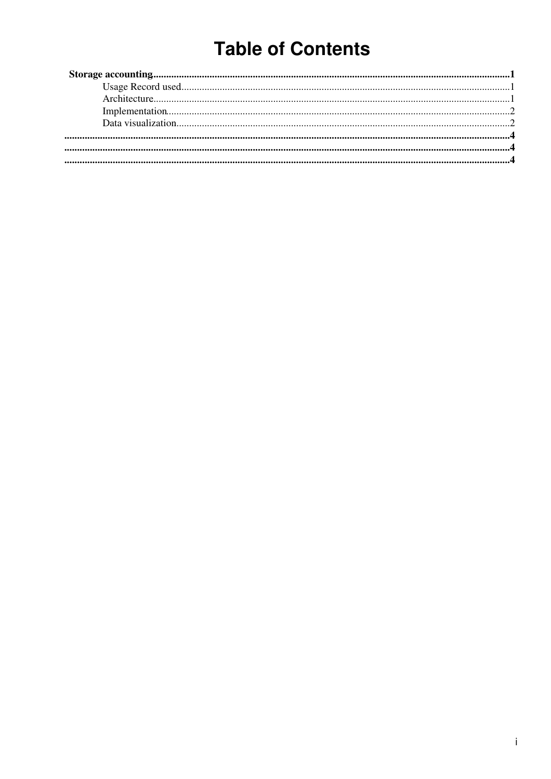## **Table of Contents**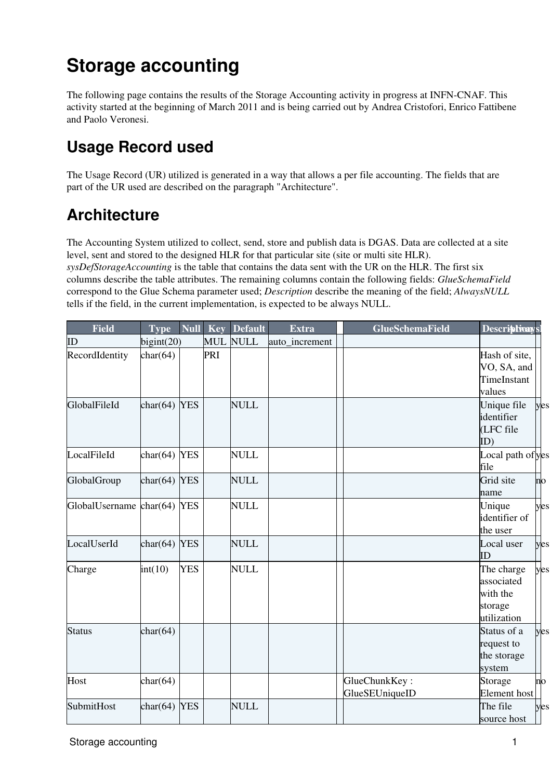# <span id="page-1-0"></span>**Storage accounting**

The following page contains the results of the Storage Accounting activity in progress at INFN-CNAF. This activity started at the beginning of March 2011 and is being carried out by Andrea Cristofori, Enrico Fattibene and Paolo Veronesi.

### <span id="page-1-1"></span>**Usage Record used**

The Usage Record (UR) utilized is generated in a way that allows a per file accounting. The fields that are part of the UR used are described on the paragraph "Architecture".

#### <span id="page-1-2"></span>**Architecture**

The Accounting System utilized to collect, send, store and publish data is DGAS. Data are collected at a site level, sent and stored to the designed HLR for that particular site (site or multi site HLR). *sysDefStorageAccounting* is the table that contains the data sent with the UR on the HLR. The first six columns describe the table attributes. The remaining columns contain the following fields: *GlueSchemaField* correspond to the Glue Schema parameter used; *Description* describe the meaning of the field; *AlwaysNULL* tells if the field, in the current implementation, is expected to be always NULL.

| <b>Field</b>      | <b>Type</b>     | $\overline{\mathbf{Null}}$ | Key        | <b>Default</b> | <b>Extra</b>   | <b>GlueSchemaField</b>          | Descriptivays!                                                 |                 |
|-------------------|-----------------|----------------------------|------------|----------------|----------------|---------------------------------|----------------------------------------------------------------|-----------------|
| ID                | bigint(20)      |                            | <b>MUL</b> | <b>NULL</b>    | auto_increment |                                 |                                                                |                 |
| RecordIdentity    | char(64)        |                            | PRI        |                |                |                                 | Hash of site,<br>VO, SA, and<br>TimeInstant<br>values          |                 |
| GlobalFileId      | char $(64)$ YES |                            |            | <b>NULL</b>    |                |                                 | Unique file<br>identifier<br>(LFC file<br>ID)                  | yes             |
| LocalFileId       | char $(64)$ YES |                            |            | <b>NULL</b>    |                |                                 | Local path of yes<br>file                                      |                 |
| GlobalGroup       | char $(64)$ YES |                            |            | <b>NULL</b>    |                |                                 | Grid site<br>name                                              | $\overline{no}$ |
| GlobalUsername    | char $(64)$ YES |                            |            | <b>NULL</b>    |                |                                 | Unique<br>identifier of<br>the user                            | yes             |
| LocalUserId       | char $(64)$ YES |                            |            | <b>NULL</b>    |                |                                 | Local user<br>ID                                               | yes             |
| Charge            | int(10)         | <b>YES</b>                 |            | <b>NULL</b>    |                |                                 | The charge<br>associated<br>with the<br>storage<br>utilization | yes             |
| <b>Status</b>     | char(64)        |                            |            |                |                |                                 | Status of a<br>request to<br>the storage<br>system             | yes             |
| Host              | char(64)        |                            |            |                |                | GlueChunkKey:<br>GlueSEUniqueID | Storage<br><b>Element</b> host                                 | no              |
| <b>SubmitHost</b> | char $(64)$ YES |                            |            | <b>NULL</b>    |                |                                 | The file<br>source host                                        | yes             |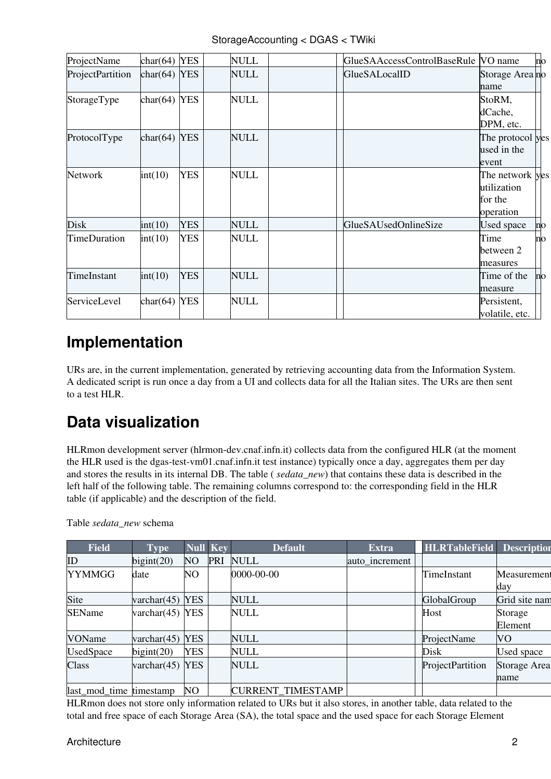| ProjectName         | char(64)        | <b>YES</b> | NULL        | GlueSAAccessControlBaseRule VO name |                                                        | no |
|---------------------|-----------------|------------|-------------|-------------------------------------|--------------------------------------------------------|----|
| ProjectPartition    | $char(64)$ YES  |            | NULL        | GlueSALocalID                       | Storage Area no<br>name                                |    |
| StorageType         | char $(64)$ YES |            | <b>NULL</b> |                                     | StoRM,<br>dCache,<br>DPM, etc.                         |    |
| ProtocolType        | $char(64)$ YES  |            | <b>NULL</b> |                                     | The protocol yes<br>used in the<br>event               |    |
| Network             | int(10)         | <b>YES</b> | <b>NULL</b> |                                     | The network yes<br>utilization<br>for the<br>operation |    |
| <b>Disk</b>         | int(10)         | <b>YES</b> | <b>NULL</b> | GlueSAUsedOnlineSize                | <b>Used space</b>                                      | no |
| <b>TimeDuration</b> | int(10)         | <b>YES</b> | <b>NULL</b> |                                     | Time<br>between 2<br>measures                          | no |
| TimeInstant         | int(10)         | <b>YES</b> | <b>NULL</b> |                                     | Time of the<br>measure                                 | no |
| ServiceLevel        | char $(64)$ YES |            | <b>NULL</b> |                                     | Persistent,<br>volatile, etc.                          |    |

### <span id="page-2-0"></span>**Implementation**

URs are, in the current implementation, generated by retrieving accounting data from the Information System. A dedicated script is run once a day from a UI and collects data for all the Italian sites. The URs are then sent to a test HLR.

## <span id="page-2-1"></span>**Data visualization**

HLRmon development server (hlrmon-dev.cnaf.infn.it) collects data from the configured HLR (at the moment the HLR used is the dgas-test-vm01.cnaf.infn.it test instance) typically once a day, aggregates them per day and stores the results in its internal DB. The table ( *sedata\_new*) that contains these data is described in the left half of the following table. The remaining columns correspond to: the corresponding field in the HLR table (if applicable) and the description of the field.

| <b>Field</b>            | <b>Type</b>        | <b>Null Key</b> |            | <b>Default</b>    | <b>Extra</b>   | <b>HLRTableField</b> | <b>Description</b>  |
|-------------------------|--------------------|-----------------|------------|-------------------|----------------|----------------------|---------------------|
| ID                      | bigint(20)         | N <sub>O</sub>  | <b>PRI</b> | <b>NULL</b>       | auto increment |                      |                     |
| <b>YYMMGG</b>           | date               | NO              |            | 0000-00-00        |                | TimeInstant          | Measurement         |
|                         |                    |                 |            |                   |                |                      | day                 |
| Site                    | varchar $(45)$     | <b>YES</b>      |            | NULL              |                | GlobalGroup          | Grid site nam       |
| <b>SEName</b>           | varchar $(45)$ YES |                 |            | <b>NULL</b>       |                | Host                 | Storage             |
|                         |                    |                 |            |                   |                |                      | Element             |
| VOName                  | varchar $(45)$     | <b>YES</b>      |            | NULL              |                | ProjectName          | <b>VO</b>           |
| <b>UsedSpace</b>        | bigint(20)         | YES             |            | NULL              |                | Disk                 | Used space          |
| Class                   | varchar $(45)$ YES |                 |            | <b>NULL</b>       |                | ProjectPartition     | <b>Storage Area</b> |
|                         |                    |                 |            |                   |                |                      | name                |
| last_mod_time_timestamp |                    | NO.             |            | CURRENT_TIMESTAMP |                |                      |                     |

Table *sedata\_new* schema

HLRmon does not store only information related to URs but it also stores, in another table, data related to the total and free space of each Storage Area (SA), the total space and the used space for each Storage Element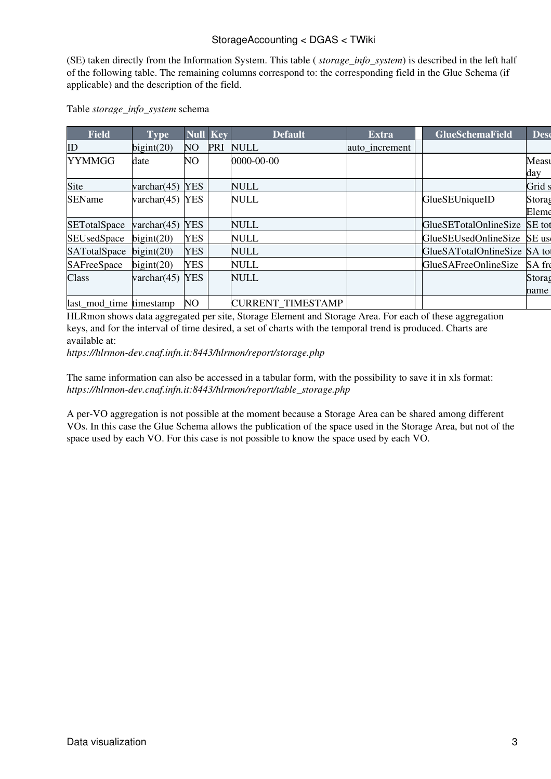(SE) taken directly from the Information System. This table ( *storage\_info\_system*) is described in the left half of the following table. The remaining columns correspond to: the corresponding field in the Glue Schema (if applicable) and the description of the field.

| <b>Field</b>            | <b>Type</b>        | <b>Null Key</b> |     | <b>Default</b>           | <b>Extra</b>   | <b>GlueSchemaField</b>       | <b>Desc</b>     |
|-------------------------|--------------------|-----------------|-----|--------------------------|----------------|------------------------------|-----------------|
| ID                      | bigint(20)         | NO <sub>1</sub> | PRI | <b>NULL</b>              | auto increment |                              |                 |
| <b>YYMMGG</b>           | date               | NO.             |     | 0000-00-00               |                |                              | Measu<br>day    |
| Site                    | varchar $(45)$     | <b>YES</b>      |     | NULL                     |                |                              | Grid s          |
| <b>SEName</b>           | varchar $(45)$ YES |                 |     | NULL                     |                | GlueSEUniqueID               | Storag<br>Eleme |
| <b>SETotalSpace</b>     | varchar $(45)$     | <b>YES</b>      |     | NULL                     |                | GlueSETotalOnlineSize        | SE tot          |
| <b>SEUsedSpace</b>      | bigint(20)         | <b>YES</b>      |     | NULL                     |                | GlueSEUsedOnlineSize         | SE us           |
| SATotalSpace            | bigint(20)         | <b>YES</b>      |     | <b>NULL</b>              |                | GlueSATotalOnlineSize SA tot |                 |
| <b>SAFreeSpace</b>      | bigint(20)         | <b>YES</b>      |     | NULL                     |                | <b>GlueSAFreeOnlineSize</b>  | SA fre          |
| Class                   | varchar $(45)$     | <b>YES</b>      |     | <b>NULL</b>              |                |                              | Storag<br>name  |
| last mod time timestamp |                    | <b>NO</b>       |     | <b>CURRENT TIMESTAMP</b> |                |                              |                 |

#### Table *storage\_info\_system* schema

HLRmon shows data aggregated per site, Storage Element and Storage Area. For each of these aggregation keys, and for the interval of time desired, a set of charts with the temporal trend is produced. Charts are available at:

*https://hlrmon-dev.cnaf.infn.it:8443/hlrmon/report/storage.php*

The same information can also be accessed in a tabular form, with the possibility to save it in xls format: *https://hlrmon-dev.cnaf.infn.it:8443/hlrmon/report/table\_storage.php*

A per-VO aggregation is not possible at the moment because a Storage Area can be shared among different VOs. In this case the Glue Schema allows the publication of the space used in the Storage Area, but not of the space used by each VO. For this case is not possible to know the space used by each VO.